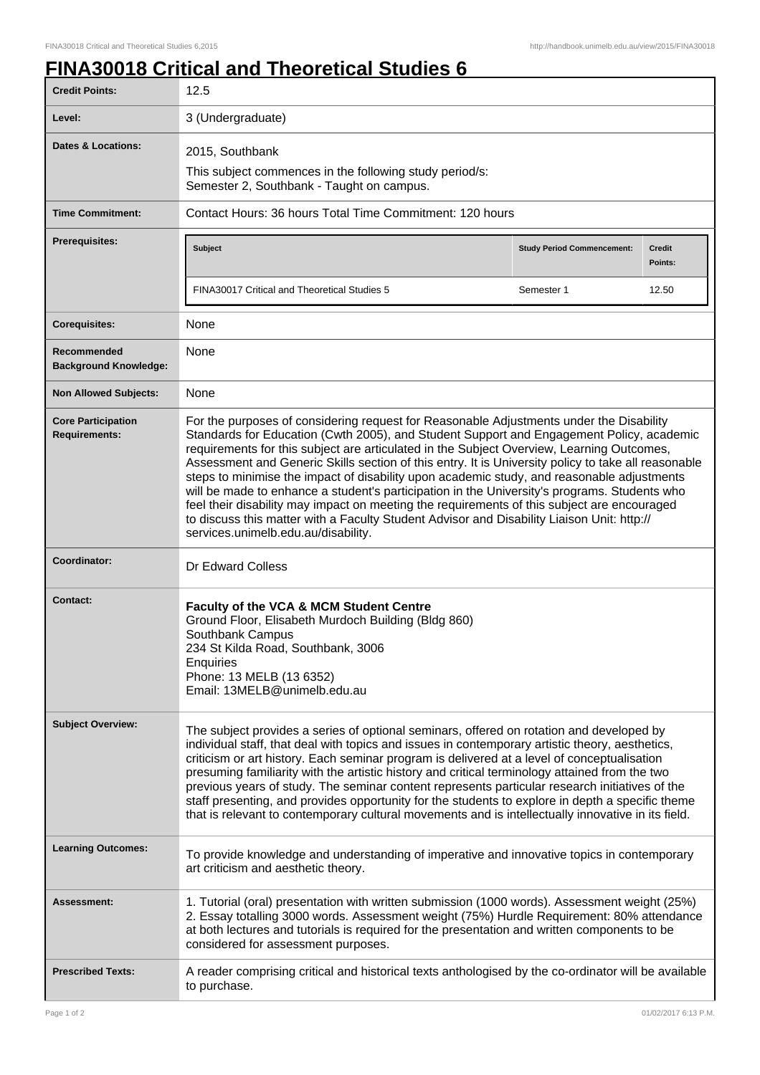## **FINA30018 Critical and Theoretical Studies 6**

| <b>Credit Points:</b>                             | 12.5                                                                                                                                                                                                                                                                                                                                                                                                                                                                                                                                                                                                                                                                                                                                                                                                                      |                                   |                          |
|---------------------------------------------------|---------------------------------------------------------------------------------------------------------------------------------------------------------------------------------------------------------------------------------------------------------------------------------------------------------------------------------------------------------------------------------------------------------------------------------------------------------------------------------------------------------------------------------------------------------------------------------------------------------------------------------------------------------------------------------------------------------------------------------------------------------------------------------------------------------------------------|-----------------------------------|--------------------------|
| Level:                                            | 3 (Undergraduate)                                                                                                                                                                                                                                                                                                                                                                                                                                                                                                                                                                                                                                                                                                                                                                                                         |                                   |                          |
| <b>Dates &amp; Locations:</b>                     | 2015, Southbank                                                                                                                                                                                                                                                                                                                                                                                                                                                                                                                                                                                                                                                                                                                                                                                                           |                                   |                          |
|                                                   | This subject commences in the following study period/s:<br>Semester 2, Southbank - Taught on campus.                                                                                                                                                                                                                                                                                                                                                                                                                                                                                                                                                                                                                                                                                                                      |                                   |                          |
| <b>Time Commitment:</b>                           | Contact Hours: 36 hours Total Time Commitment: 120 hours                                                                                                                                                                                                                                                                                                                                                                                                                                                                                                                                                                                                                                                                                                                                                                  |                                   |                          |
| <b>Prerequisites:</b>                             | <b>Subject</b>                                                                                                                                                                                                                                                                                                                                                                                                                                                                                                                                                                                                                                                                                                                                                                                                            | <b>Study Period Commencement:</b> | <b>Credit</b><br>Points: |
|                                                   | FINA30017 Critical and Theoretical Studies 5                                                                                                                                                                                                                                                                                                                                                                                                                                                                                                                                                                                                                                                                                                                                                                              | Semester 1                        | 12.50                    |
| <b>Corequisites:</b>                              | None                                                                                                                                                                                                                                                                                                                                                                                                                                                                                                                                                                                                                                                                                                                                                                                                                      |                                   |                          |
| Recommended<br><b>Background Knowledge:</b>       | None                                                                                                                                                                                                                                                                                                                                                                                                                                                                                                                                                                                                                                                                                                                                                                                                                      |                                   |                          |
| <b>Non Allowed Subjects:</b>                      | None                                                                                                                                                                                                                                                                                                                                                                                                                                                                                                                                                                                                                                                                                                                                                                                                                      |                                   |                          |
| <b>Core Participation</b><br><b>Requirements:</b> | For the purposes of considering request for Reasonable Adjustments under the Disability<br>Standards for Education (Cwth 2005), and Student Support and Engagement Policy, academic<br>requirements for this subject are articulated in the Subject Overview, Learning Outcomes,<br>Assessment and Generic Skills section of this entry. It is University policy to take all reasonable<br>steps to minimise the impact of disability upon academic study, and reasonable adjustments<br>will be made to enhance a student's participation in the University's programs. Students who<br>feel their disability may impact on meeting the requirements of this subject are encouraged<br>to discuss this matter with a Faculty Student Advisor and Disability Liaison Unit: http://<br>services.unimelb.edu.au/disability. |                                   |                          |
| Coordinator:                                      | <b>Dr Edward Colless</b>                                                                                                                                                                                                                                                                                                                                                                                                                                                                                                                                                                                                                                                                                                                                                                                                  |                                   |                          |
| <b>Contact:</b>                                   | <b>Faculty of the VCA &amp; MCM Student Centre</b><br>Ground Floor, Elisabeth Murdoch Building (Bldg 860)<br>Southbank Campus<br>234 St Kilda Road, Southbank, 3006<br>Enquiries<br>Phone: 13 MELB (13 6352)<br>Email: 13MELB@unimelb.edu.au                                                                                                                                                                                                                                                                                                                                                                                                                                                                                                                                                                              |                                   |                          |
| <b>Subject Overview:</b>                          | The subject provides a series of optional seminars, offered on rotation and developed by<br>individual staff, that deal with topics and issues in contemporary artistic theory, aesthetics,<br>criticism or art history. Each seminar program is delivered at a level of conceptualisation<br>presuming familiarity with the artistic history and critical terminology attained from the two<br>previous years of study. The seminar content represents particular research initiatives of the<br>staff presenting, and provides opportunity for the students to explore in depth a specific theme<br>that is relevant to contemporary cultural movements and is intellectually innovative in its field.                                                                                                                  |                                   |                          |
| <b>Learning Outcomes:</b>                         | To provide knowledge and understanding of imperative and innovative topics in contemporary<br>art criticism and aesthetic theory.                                                                                                                                                                                                                                                                                                                                                                                                                                                                                                                                                                                                                                                                                         |                                   |                          |
| Assessment:                                       | 1. Tutorial (oral) presentation with written submission (1000 words). Assessment weight (25%)<br>2. Essay totalling 3000 words. Assessment weight (75%) Hurdle Requirement: 80% attendance<br>at both lectures and tutorials is required for the presentation and written components to be<br>considered for assessment purposes.                                                                                                                                                                                                                                                                                                                                                                                                                                                                                         |                                   |                          |
| <b>Prescribed Texts:</b>                          | A reader comprising critical and historical texts anthologised by the co-ordinator will be available<br>to purchase.                                                                                                                                                                                                                                                                                                                                                                                                                                                                                                                                                                                                                                                                                                      |                                   |                          |